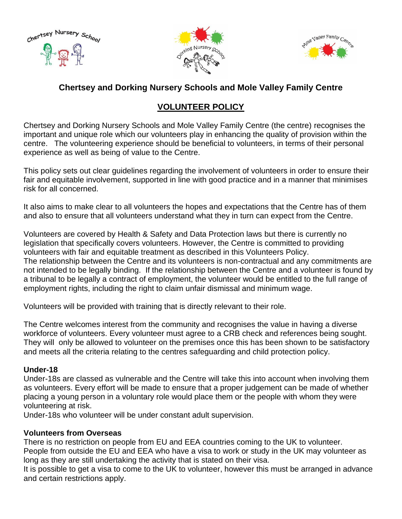





# **Chertsey and Dorking Nursery Schools and Mole Valley Family Centre**

# **VOLUNTEER POLICY**

Chertsey and Dorking Nursery Schools and Mole Valley Family Centre (the centre) recognises the important and unique role which our volunteers play in enhancing the quality of provision within the centre. The volunteering experience should be beneficial to volunteers, in terms of their personal experience as well as being of value to the Centre.

This policy sets out clear guidelines regarding the involvement of volunteers in order to ensure their fair and equitable involvement, supported in line with good practice and in a manner that minimises risk for all concerned.

It also aims to make clear to all volunteers the hopes and expectations that the Centre has of them and also to ensure that all volunteers understand what they in turn can expect from the Centre.

Volunteers are covered by Health & Safety and Data Protection laws but there is currently no legislation that specifically covers volunteers. However, the Centre is committed to providing volunteers with fair and equitable treatment as described in this Volunteers Policy. The relationship between the Centre and its volunteers is non-contractual and any commitments are not intended to be legally binding. If the relationship between the Centre and a volunteer is found by a tribunal to be legally a contract of employment, the volunteer would be entitled to the full range of employment rights, including the right to claim unfair dismissal and minimum wage.

Volunteers will be provided with training that is directly relevant to their role.

The Centre welcomes interest from the community and recognises the value in having a diverse workforce of volunteers. Every volunteer must agree to a CRB check and references being sought. They will only be allowed to volunteer on the premises once this has been shown to be satisfactory and meets all the criteria relating to the centres safeguarding and child protection policy.

# **Under-18**

Under-18s are classed as vulnerable and the Centre will take this into account when involving them as volunteers. Every effort will be made to ensure that a proper judgement can be made of whether placing a young person in a voluntary role would place them or the people with whom they were volunteering at risk.

Under-18s who volunteer will be under constant adult supervision.

# **Volunteers from Overseas**

There is no restriction on people from EU and EEA countries coming to the UK to volunteer. People from outside the EU and EEA who have a visa to work or study in the UK may volunteer as long as they are still undertaking the activity that is stated on their visa.

It is possible to get a visa to come to the UK to volunteer, however this must be arranged in advance and certain restrictions apply.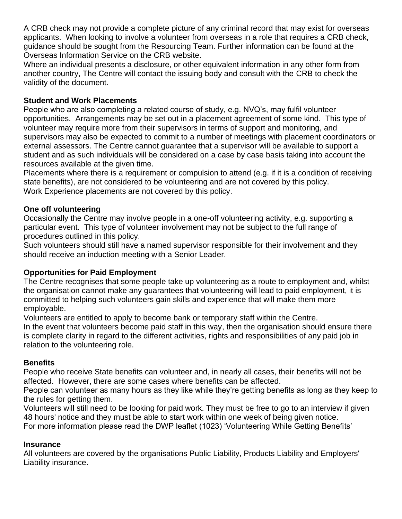A CRB check may not provide a complete picture of any criminal record that may exist for overseas applicants. When looking to involve a volunteer from overseas in a role that requires a CRB check, guidance should be sought from the Resourcing Team. Further information can be found at the Overseas Information Service on the CRB website.

Where an individual presents a disclosure, or other equivalent information in any other form from another country, The Centre will contact the issuing body and consult with the CRB to check the validity of the document.

#### **Student and Work Placements**

People who are also completing a related course of study, e.g. NVQ's, may fulfil volunteer opportunities. Arrangements may be set out in a placement agreement of some kind. This type of volunteer may require more from their supervisors in terms of support and monitoring, and supervisors may also be expected to commit to a number of meetings with placement coordinators or external assessors. The Centre cannot guarantee that a supervisor will be available to support a student and as such individuals will be considered on a case by case basis taking into account the resources available at the given time.

Placements where there is a requirement or compulsion to attend (e.g. if it is a condition of receiving state benefits), are not considered to be volunteering and are not covered by this policy. Work Experience placements are not covered by this policy.

#### **One off volunteering**

Occasionally the Centre may involve people in a one-off volunteering activity, e.g. supporting a particular event. This type of volunteer involvement may not be subject to the full range of procedures outlined in this policy.

Such volunteers should still have a named supervisor responsible for their involvement and they should receive an induction meeting with a Senior Leader.

# **Opportunities for Paid Employment**

The Centre recognises that some people take up volunteering as a route to employment and, whilst the organisation cannot make any guarantees that volunteering will lead to paid employment, it is committed to helping such volunteers gain skills and experience that will make them more employable.

Volunteers are entitled to apply to become bank or temporary staff within the Centre.

In the event that volunteers become paid staff in this way, then the organisation should ensure there is complete clarity in regard to the different activities, rights and responsibilities of any paid job in relation to the volunteering role.

#### **Benefits**

People who receive State benefits can volunteer and, in nearly all cases, their benefits will not be affected. However, there are some cases where benefits can be affected.

People can volunteer as many hours as they like while they're getting benefits as long as they keep to the rules for getting them.

Volunteers will still need to be looking for paid work. They must be free to go to an interview if given 48 hours' notice and they must be able to start work within one week of being given notice. For more information please read the DWP leaflet (1023) 'Volunteering While Getting Benefits'

#### **Insurance**

All volunteers are covered by the organisations Public Liability, Products Liability and Employers' Liability insurance.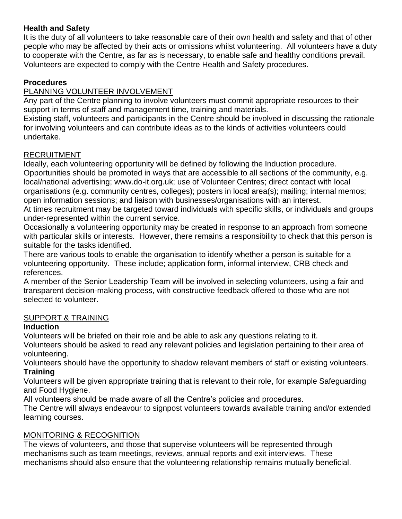# **Health and Safety**

It is the duty of all volunteers to take reasonable care of their own health and safety and that of other people who may be affected by their acts or omissions whilst volunteering. All volunteers have a duty to cooperate with the Centre, as far as is necessary, to enable safe and healthy conditions prevail. Volunteers are expected to comply with the Centre Health and Safety procedures.

# **Procedures**

# PLANNING VOLUNTEER INVOLVEMENT

Any part of the Centre planning to involve volunteers must commit appropriate resources to their support in terms of staff and management time, training and materials.

Existing staff, volunteers and participants in the Centre should be involved in discussing the rationale for involving volunteers and can contribute ideas as to the kinds of activities volunteers could undertake.

# RECRUITMENT

Ideally, each volunteering opportunity will be defined by following the Induction procedure. Opportunities should be promoted in ways that are accessible to all sections of the community, e.g. local/national advertising; www.do-it.org.uk; use of Volunteer Centres; direct contact with local organisations (e.g. community centres, colleges); posters in local area(s); mailing; internal memos; open information sessions; and liaison with businesses/organisations with an interest.

At times recruitment may be targeted toward individuals with specific skills, or individuals and groups under-represented within the current service.

Occasionally a volunteering opportunity may be created in response to an approach from someone with particular skills or interests. However, there remains a responsibility to check that this person is suitable for the tasks identified.

There are various tools to enable the organisation to identify whether a person is suitable for a volunteering opportunity. These include; application form, informal interview, CRB check and references.

A member of the Senior Leadership Team will be involved in selecting volunteers, using a fair and transparent decision-making process, with constructive feedback offered to those who are not selected to volunteer.

# SUPPORT & TRAINING

# **Induction**

Volunteers will be briefed on their role and be able to ask any questions relating to it.

Volunteers should be asked to read any relevant policies and legislation pertaining to their area of volunteering.

Volunteers should have the opportunity to shadow relevant members of staff or existing volunteers. **Training**

Volunteers will be given appropriate training that is relevant to their role, for example Safeguarding and Food Hygiene.

All volunteers should be made aware of all the Centre's policies and procedures.

The Centre will always endeavour to signpost volunteers towards available training and/or extended learning courses.

# MONITORING & RECOGNITION

The views of volunteers, and those that supervise volunteers will be represented through mechanisms such as team meetings, reviews, annual reports and exit interviews. These mechanisms should also ensure that the volunteering relationship remains mutually beneficial.